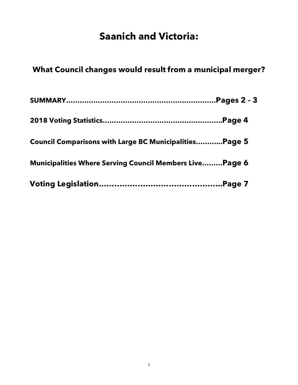# **Saanich and Victoria:**

# **What Council changes would result from a municipal merger?**

| <b>Council Comparisons with Large BC MunicipalitiesPage 5</b>  |  |
|----------------------------------------------------------------|--|
| <b>Municipalities Where Serving Council Members LivePage 6</b> |  |
|                                                                |  |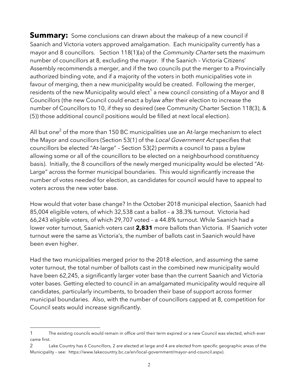**Summary:** Some conclusions can drawn about the makeup of a new council if Saanich and Victoria voters approved amalgamation. Each municipality currently has a mayor and 8 councillors. Section 118(1)(a) of the *Community Charter* sets the maximum number of councillors at 8, excluding the mayor. If the Saanich – Victoria Citizens' Assembly recommends a merger, and if the two councils put the merger to a Provincially authorized binding vote, and if a majority of the voters in both municipalities vote in favour of merging, then a new municipality would be created. Following the merger, residents of the new Municipality would elect<sup>1</sup> a new council consisting of a Mayor and 8 Councillors (the new Council could enact a bylaw after their election to increase the number of Councillors to 10, if they so desired (see Community Charter Section 118(3), & (5)) those additional council positions would be filled at next local election).

All but one<sup>2</sup> of the more than 150 BC municipalities use an At-large mechanism to elect the Mayor and councillors (Section 53(1) of the Local Government Act specifies that councillors be elected "At-large" – Section 53(2) permits a council to pass a bylaw allowing some or all of the councillors to be elected on a neighbourhood constituency basis). Initially, the 8 councillors of the newly merged municipality would be elected "At-Large" across the former municipal boundaries. This would significantly increase the number of votes needed for election, as candidates for council would have to appeal to voters across the new voter base.

How would that voter base change? In the October 2018 municipal election, Saanich had 85,004 eligible voters, of which 32,538 cast a ballot – a 38.3% turnout. Victoria had 66,243 eligible voters, of which 29,707 voted – a 44.8% turnout. While Saanich had a lower voter turnout, Saanich voters cast **2,831** more ballots than Victoria. If Saanich voter turnout were the same as Victoria's, the number of ballots cast in Saanich would have been even higher.

Had the two municipalities merged prior to the 2018 election, and assuming the same voter turnout, the total number of ballots cast in the combined new municipality would have been 62,245, a significantly larger voter base than the current Saanich and Victoria voter bases. Getting elected to council in an amalgamated municipality would require all candidates, particularly incumbents, to broaden their base of support across former municipal boundaries. Also, with the number of councillors capped at 8, competition for Council seats would increase significantly.

l 1 The existing councils would remain in office until their term expired or a new Council was elected, which ever came first.

<sup>2</sup> Lake Country has 6 Councillors, 2 are elected at large and 4 are elected from specific geographic areas of the Municipality – see: https://www.lakecountry.bc.ca/en/local-government/mayor-and-council.aspx).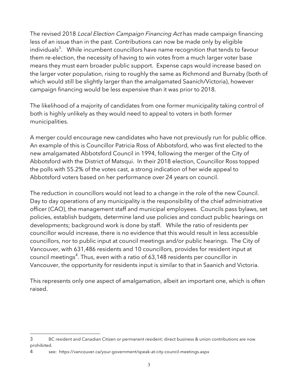The revised 2018 Local Election Campaign Financing Act has made campaign financing less of an issue than in the past. Contributions can now be made only by eligible individuals $^3$ . While incumbent councillors have name recognition that tends to favour them re-election, the necessity of having to win votes from a much larger voter base means they must earn broader public support. Expense caps would increase based on the larger voter population, rising to roughly the same as Richmond and Burnaby (both of which would still be slightly larger than the amalgamated Saanich/Victoria), however campaign financing would be less expensive than it was prior to 2018.

The likelihood of a majority of candidates from one former municipality taking control of both is highly unlikely as they would need to appeal to voters in both former municipalities.

A merger could encourage new candidates who have not previously run for public office. An example of this is Councillor Patricia Ross of Abbotsford, who was first elected to the new amalgamated Abbotsford Council in 1994, following the merger of the City of Abbotsford with the District of Matsqui. In their 2018 election, Councillor Ross topped the polls with 55.2% of the votes cast, a strong indication of her wide appeal to Abbotsford voters based on her performance over 24 years on council.

The reduction in councillors would not lead to a change in the role of the new Council. Day to day operations of any municipality is the responsibility of the chief administrative officer (CAO), the management staff and municipal employees. Councils pass bylaws, set policies, establish budgets, determine land use policies and conduct public hearings on developments; background work is done by staff. While the ratio of residents per councillor would increase, there is no evidence that this would result in less accessible councillors, nor to public input at council meetings and/or public hearings. The City of Vancouver, with 631,486 residents and 10 councillors, provides for resident input at council meetings $^4$ . Thus, even with a ratio of 63,148 residents per councillor in Vancouver, the opportunity for residents input is similar to that in Saanich and Victoria.

This represents only one aspect of amalgamation, albeit an important one, which is often raised.

l

<sup>3</sup> BC resident and Canadian Citizen or permanent resident; direct business & union contributions are now prohibited.

<sup>4</sup> see: https://vancouver.ca/your-government/speak-at-city-council-meetings.aspx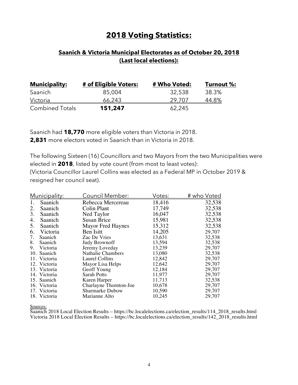# **2018 Voting Statistics:**

## **Saanich & Victoria Municipal Electorates as of October 20, 2018 (Last local elections):**

| <b>Municipality:</b>   | # of Eligible Voters: | # Who Voted: | Turnout %: |
|------------------------|-----------------------|--------------|------------|
| Saanich                | 85,004                | 32,538       | 38.3%      |
| <u>Victoria</u>        | 66.243                | 29.707       | 44.8%      |
| <b>Combined Totals</b> | 151,247               | 62,245       |            |

Saanich had **18,770** more eligible voters than Victoria in 2018. **2,831** more electors voted in Saanich than in Victoria in 2018.

The following Sixteen (16) Councillors and two Mayors from the two Municipalities were elected in **2018**, listed by vote count (from most to least votes): (Victoria Councillor Laurel Collins was elected as a Federal MP in October 2019 & resigned her council seat).

|    | Municipality: | Council Member:          | Votes: | <u># who Voted</u> |
|----|---------------|--------------------------|--------|--------------------|
|    | Saanich       | Rebecca Mercereau        | 18,416 | 32,538             |
| 2. | Saanich       | Colin Plant              | 17,749 | 32,538             |
| 3. | Saanich       | Ned Taylor               | 16,047 | 32,538             |
| 4. | Saanich       | <b>Susan Brice</b>       | 15,981 | 32,538             |
| 5. | Saanich       | <b>Mayor Fred Haynes</b> | 15,312 | 32,538             |
| 6. | Victoria      | Ben Isitt                | 14,205 | 29,707             |
| 7. | Saanich       | Zac De Vries             | 13,631 | 32,538             |
| 8. | Saanich       | <b>Judy Brownoff</b>     | 13,594 | 32,538             |
| 9. | Victoria      | Jeremy Loveday           | 13,239 | 29,707             |
|    | 10. Saanich   | Nathalie Chambers        | 13,080 | 32,538             |
|    | 11. Victoria  | Laurel Collins           | 12,842 | 29,707             |
|    | 12. Victoria  | Mayor Lisa Helps         | 12,642 | 29,707             |
|    | 13. Victoria  | Geoff Young              | 12,184 | 29,707             |
|    | 14. Victoria  | <b>Sarah Potts</b>       | 11,977 | 29,707             |
|    | 15. Saanich   | Karen Harper             | 11,713 | 32,538             |
|    | 16. Victoria  | Charlayne Thornton-Joe   | 10,678 | 29,707             |
|    | 17. Victoria  | <b>Sharmarke Dubow</b>   | 10,590 | 29,707             |
|    | 18. Victoria  | Marianne Alto            | 10,245 | 29,707             |

Sources:

Saanich 2018 Local Election Results – https://bc.localelections.ca/election\_results/114\_2018\_results.html Victoria 2018 Local Election Results – https://bc.localelections.ca/election\_results/142\_2018\_results.html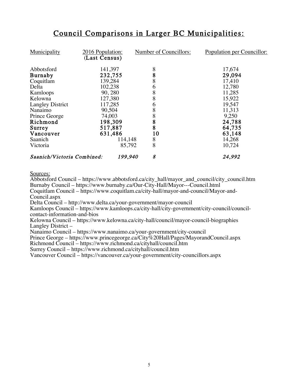# Council Comparisons in Larger BC Municipalities:

| Municipality               | 2016 Population:<br>(Last Census) | Number of Councillors: | Population per Councillor: |
|----------------------------|-----------------------------------|------------------------|----------------------------|
|                            |                                   |                        |                            |
| Abbotsford                 | 141,397                           | 8                      | 17,674                     |
| <b>Burnaby</b>             | 232,755                           | 8                      | 29,094                     |
| Coquitlam                  | 139,284                           | 8                      | 17,410                     |
| Delta                      | 102,238                           | 6                      | 12,780                     |
| Kamloops                   | 90,280                            | 8                      | 11,285                     |
| Kelowna                    | 127,380                           | 8                      | 15,922                     |
| <b>Langley District</b>    | 117,285                           | 6                      | 19,547                     |
| Nanaimo                    | 90,504                            | 8                      | 11,313                     |
| Prince George              | 74,003                            | 8                      | 9,250                      |
| Richmond                   | 198,309                           | 8                      | 24,788                     |
| Surrey                     | 517,887                           | 8                      | 64,735                     |
| Vancouver                  | 631,486                           | 10                     | 63,148                     |
| Saanich                    | 114,148                           | 8                      | 14,268                     |
| Victoria                   | 85,792                            | 8                      | 10,724                     |
| Saanich/Victoria Combined: | 199,940                           | 8                      | 24,992                     |

#### Sources:

Abbotsford Council – https://www.abbotsford.ca/city\_hall/mayor\_and\_council/city\_council.htm Burnaby Council – https://www.burnaby.ca/Our-City-Hall/Mayor---Council.html Coquitlam Council – https://www.coquitlam.ca/city-hall/mayor-and-council/Mayor-and-Council.aspx

Delta Council – http://www.delta.ca/your-government/mayor-council

Kamloops Council – https://www.kamloops.ca/city-hall/city-government/city-council/councilcontact-information-and-bios

Kelowna Council – https://www.kelowna.ca/city-hall/council/mayor-council-biographies Langley District –

Nanaimo Council – https://www.nanaimo.ca/your-government/city-council

Prince George – https://www.princegeorge.ca/City%20Hall/Pages/MayorandCouncil.aspx

Richmond Council – https://www.richmond.ca/cityhall/council.htm

Surrey Council – https://www.richmond.ca/cityhall/council.htm

Vancouver Council – https://vancouver.ca/your-government/city-councillors.aspx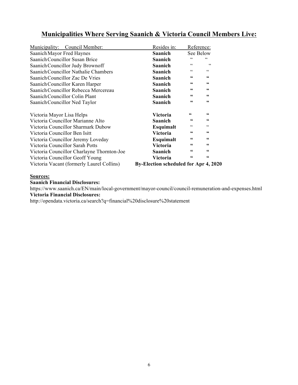# **Municipalities Where Serving Saanich & Victoria Council Members Live:**

| Municipality: Council Member:              | Resides in:                           | Reference:             |                        |
|--------------------------------------------|---------------------------------------|------------------------|------------------------|
| Saanich Mayor Fred Haynes                  | <b>Saanich</b>                        | See Below              |                        |
| Saanich Councillor Susan Brice             | <b>Saanich</b>                        | $\epsilon$             | $\epsilon$             |
| Saanich Councillor Judy Brownoff           | <b>Saanich</b>                        | C                      | C                      |
| Saanich Councillor Nathalie Chambers       | <b>Saanich</b>                        | $\epsilon$             | $\zeta$ $\zeta$        |
| Saanich Councillor Zac De Vries            | <b>Saanich</b>                        | 66                     | 66                     |
| Saanich Councillor Karen Harper            | <b>Saanich</b>                        | 66                     | $\mathsf{G}\mathsf{G}$ |
| Saanich Councillor Rebecca Mercereau       | Saanich                               | 66                     | $\textsf{G}\textsf{G}$ |
| Saanich Councillor Colin Plant             | <b>Saanich</b>                        | $\mathsf{G}\mathsf{G}$ | $\textsf{G}\textsf{G}$ |
| Saanich Councillor Ned Taylor              | <b>Saanich</b>                        | 66                     | $\mathsf{G}\mathsf{G}$ |
| Victoria Mayor Lisa Helps                  | Victoria                              | 66                     | $\mathsf{G}\mathsf{G}$ |
| Victoria Councillor Marianne Alto          | <b>Saanich</b>                        | 66                     | $\mathsf{G}\mathsf{G}$ |
| Victoria Councillor Sharmark Dubow         | Esquimalt                             | cc                     | cc                     |
| Victoria Councillor Ben Isitt              | Victoria                              | $\mathsf{G}\mathsf{G}$ | $\textsf{G}\textsf{G}$ |
| Victoria Councillor Jeremy Loveday         | Esquimalt                             | $\mathsf{G}\mathsf{G}$ | $\mathsf{G}\mathsf{G}$ |
| Victoria Councillor Sarah Potts            | Victoria                              | 66                     | $\mathsf{G}\mathsf{G}$ |
| Victoria Councillor Charlayne Thornton-Joe | <b>Saanich</b>                        | 66                     | $\mathsf{G}\mathsf{G}$ |
| Victoria Councillor Geoff Young            | Victoria                              | $\textsf{G}\textsf{G}$ | $\mathbf{66}$          |
| Victoria Vacant (formerly Laurel Collins)  | By-Election scheduled for Apr 4, 2020 |                        |                        |

#### **Sources:**

#### **Saanich Financial Disclosures:**

https://www.saanich.ca/EN/main/local-government/mayor-council/council-remuneration-and-expenses.html **Victoria Financial Disclosures:**

http://opendata.victoria.ca/search?q=financial%20disclosure%20statement